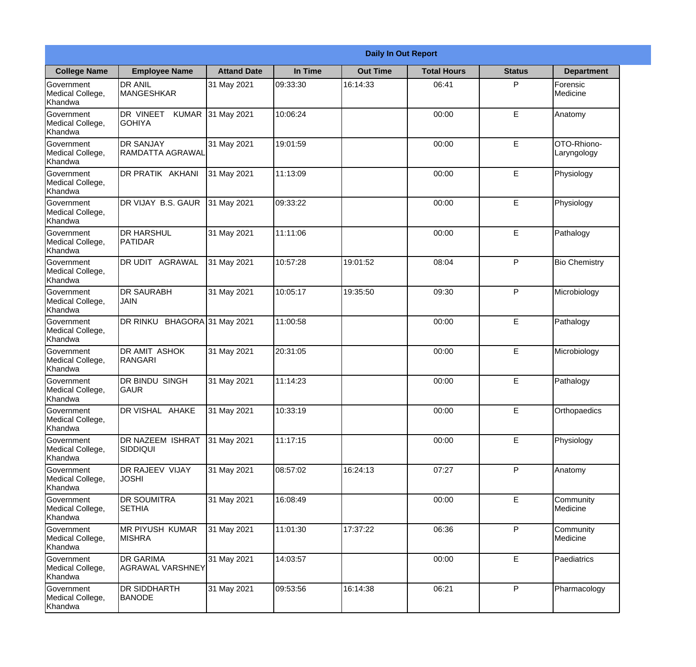| <b>Daily In Out Report</b>                       |                                            |                    |          |                 |                    |               |                            |
|--------------------------------------------------|--------------------------------------------|--------------------|----------|-----------------|--------------------|---------------|----------------------------|
| <b>College Name</b>                              | <b>Employee Name</b>                       | <b>Attand Date</b> | In Time  | <b>Out Time</b> | <b>Total Hours</b> | <b>Status</b> | <b>Department</b>          |
| Government<br>Medical College,<br>Khandwa        | <b>DR ANIL</b><br><b>MANGESHKAR</b>        | 31 May 2021        | 09:33:30 | 16:14:33        | 06:41              | P             | Forensic<br>Medicine       |
| Government<br>Medical College,<br>Khandwa        | DR VINEET<br><b>KUMAR</b><br><b>GOHIYA</b> | 31 May 2021        | 10:06:24 |                 | 00:00              | E             | Anatomy                    |
| <b>Government</b><br>Medical College,<br>Khandwa | <b>DR SANJAY</b><br>RAMDATTA AGRAWAL       | 31 May 2021        | 19:01:59 |                 | 00:00              | E             | OTO-Rhiono-<br>Laryngology |
| Government<br>Medical College,<br>Khandwa        | <b>DR PRATIK AKHANI</b>                    | 31 May 2021        | 11:13:09 |                 | 00:00              | E             | Physiology                 |
| Government<br>Medical College,<br>Khandwa        | <b>DR VIJAY B.S. GAUR</b>                  | 31 May 2021        | 09:33:22 |                 | 00:00              | E             | Physiology                 |
| Government<br>Medical College,<br>Khandwa        | <b>DR HARSHUL</b><br>PATIDAR               | 31 May 2021        | 11:11:06 |                 | 00:00              | E             | Pathalogy                  |
| Government<br>Medical College,<br>Khandwa        | <b>DR UDIT AGRAWAL</b>                     | 31 May 2021        | 10:57:28 | 19:01:52        | 08:04              | P             | <b>Bio Chemistry</b>       |
| Government<br>Medical College,<br>Khandwa        | <b>DR SAURABH</b><br><b>JAIN</b>           | 31 May 2021        | 10:05:17 | 19:35:50        | 09:30              | P             | Microbiology               |
| Government<br>Medical College,<br>Khandwa        | DR RINKU BHAGORA 31 May 2021               |                    | 11:00:58 |                 | 00:00              | E             | Pathalogy                  |
| Government<br>Medical College,<br>Khandwa        | <b>DR AMIT ASHOK</b><br>RANGARI            | 31 May 2021        | 20:31:05 |                 | 00:00              | E             | Microbiology               |
| Government<br>Medical College,<br>Khandwa        | DR BINDU SINGH<br> GAUR                    | 31 May 2021        | 11:14:23 |                 | 00:00              | E             | Pathalogy                  |
| Government<br>Medical College,<br>Khandwa        | DR VISHAL AHAKE                            | 31 May 2021        | 10:33:19 |                 | 00:00              | E             | Orthopaedics               |
| Government<br>Medical College,<br>Khandwa        | <b>DR NAZEEM ISHRAT</b><br>SIDDIQUI        | 31 May 2021        | 11:17:15 |                 | 00:00              | E             | Physiology                 |
| Government<br>Medical College,<br>Khandwa        | DR RAJEEV VIJAY<br><b>JOSHI</b>            | 31 May 2021        | 08:57:02 | 16:24:13        | 07:27              | P             | Anatomy                    |
| Government<br>Medical College,<br>Khandwa        | <b>DR SOUMITRA</b><br><b>SETHIA</b>        | 31 May 2021        | 16:08:49 |                 | 00:00              | E             | Community<br>Medicine      |
| Government<br>Medical College,<br>Khandwa        | <b>MR PIYUSH KUMAR</b><br><b>MISHRA</b>    | 31 May 2021        | 11:01:30 | 17:37:22        | 06:36              | P             | Community<br>Medicine      |
| Government<br>Medical College,<br>Khandwa        | <b>DR GARIMA</b><br>AGRAWAL VARSHNEY       | 31 May 2021        | 14:03:57 |                 | 00:00              | E             | Paediatrics                |
| Government<br>Medical College,<br>Khandwa        | <b>DR SIDDHARTH</b><br><b>BANODE</b>       | 31 May 2021        | 09:53:56 | 16:14:38        | 06:21              | P             | Pharmacology               |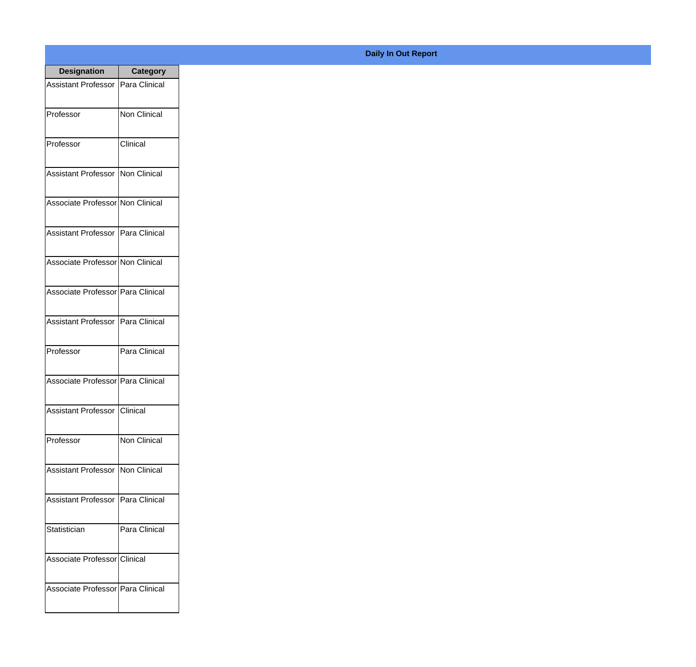| <b>Designation</b>                  | <b>Category</b>     |
|-------------------------------------|---------------------|
| <b>Assistant Professor</b>          | Para Clinical       |
| Professor                           | <b>Non Clinical</b> |
| Professor                           | Clinical            |
| Assistant Professor   Non Clinical  |                     |
| Associate Professor Non Clinical    |                     |
| Assistant Professor   Para Clinical |                     |
| Associate Professor Non Clinical    |                     |
| Associate Professor Para Clinical   |                     |
| Assistant Professor   Para Clinical |                     |
| Professor                           | Para Clinical       |
| Associate Professor   Para Clinical |                     |
| <b>Assistant Professor Clinical</b> |                     |
| Professor                           | <b>Non Clinical</b> |
| <b>Assistant Professor</b>          | Non Clinical        |
| <b>Assistant Professor</b>          | Para Clinical       |
| Statistician                        | Para Clinical       |
| Associate Professor Clinical        |                     |
| Associate Professor   Para Clinical |                     |

## **Daily In Out Report**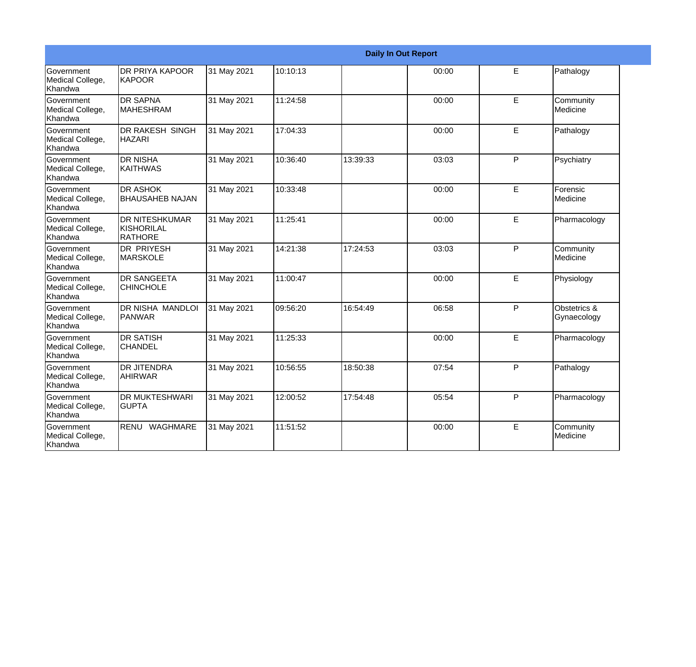| <b>Daily In Out Report</b>                       |                                                |             |          |          |       |              |                             |
|--------------------------------------------------|------------------------------------------------|-------------|----------|----------|-------|--------------|-----------------------------|
| Government<br>Medical College,<br>Khandwa        | <b>DR PRIYA KAPOOR</b><br><b>KAPOOR</b>        | 31 May 2021 | 10:10:13 |          | 00:00 | E            | Pathalogy                   |
| Government<br>Medical College,<br>Khandwa        | <b>DR SAPNA</b><br><b>MAHESHRAM</b>            | 31 May 2021 | 11:24:58 |          | 00:00 | E            | Community<br>Medicine       |
| Government<br>Medical College,<br>Khandwa        | <b>DR RAKESH SINGH</b><br><b>HAZARI</b>        | 31 May 2021 | 17:04:33 |          | 00:00 | E            | Pathalogy                   |
| Government<br>Medical College,<br>Khandwa        | <b>DR NISHA</b><br><b>KAITHWAS</b>             | 31 May 2021 | 10:36:40 | 13:39:33 | 03:03 | $\mathsf{P}$ | Psychiatry                  |
| Government<br>Medical College,<br>Khandwa        | <b>DR ASHOK</b><br><b>BHAUSAHEB NAJAN</b>      | 31 May 2021 | 10:33:48 |          | 00:00 | E            | Forensic<br>Medicine        |
| Government<br>Medical College,<br>Khandwa        | <b>DR NITESHKUMAR</b><br>KISHORILAL<br>RATHORE | 31 May 2021 | 11:25:41 |          | 00:00 | E            | Pharmacology                |
| Government<br>Medical College,<br>Khandwa        | <b>DR PRIYESH</b><br><b>MARSKOLE</b>           | 31 May 2021 | 14:21:38 | 17:24:53 | 03:03 | P            | Community<br>Medicine       |
| Government<br>Medical College,<br>Khandwa        | <b>DR SANGEETA</b><br><b>CHINCHOLE</b>         | 31 May 2021 | 11:00:47 |          | 00:00 | E            | Physiology                  |
| Government<br>Medical College,<br>Khandwa        | <b>DR NISHA MANDLOI</b><br>PANWAR              | 31 May 2021 | 09:56:20 | 16:54:49 | 06:58 | P            | Obstetrics &<br>Gynaecology |
| Government<br>Medical College,<br>Khandwa        | <b>DR SATISH</b><br><b>CHANDEL</b>             | 31 May 2021 | 11:25:33 |          | 00:00 | E            | Pharmacology                |
| <b>Government</b><br>Medical College,<br>Khandwa | <b>DR JITENDRA</b><br><b>AHIRWAR</b>           | 31 May 2021 | 10:56:55 | 18:50:38 | 07:54 | P            | Pathalogy                   |
| Government<br>Medical College,<br>Khandwa        | <b>DR MUKTESHWARI</b><br><b>GUPTA</b>          | 31 May 2021 | 12:00:52 | 17:54:48 | 05:54 | P            | Pharmacology                |
| Government<br>Medical College,<br>Khandwa        | RENU<br><b>WAGHMARE</b>                        | 31 May 2021 | 11:51:52 |          | 00:00 | E            | Community<br>Medicine       |